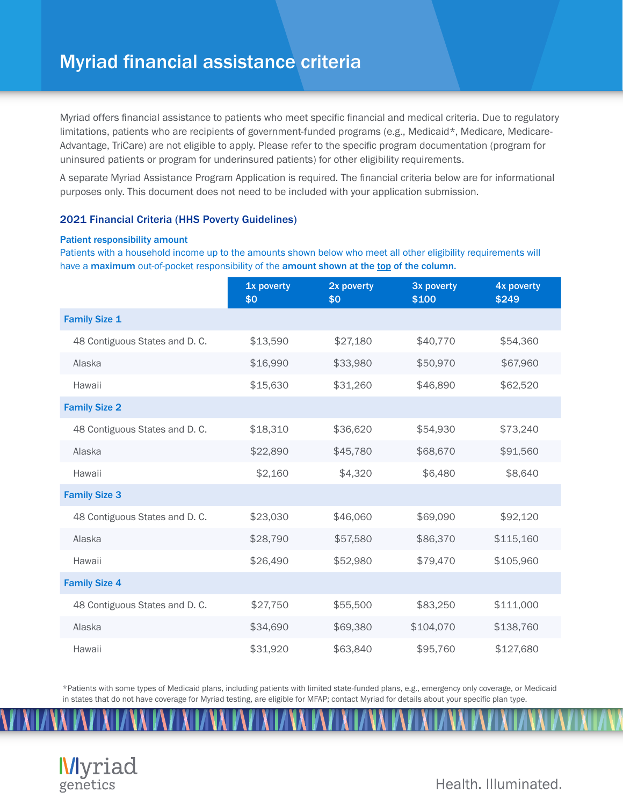## Myriad financial assistance criteria

Myriad offers financial assistance to patients who meet specific financial and medical criteria. Due to regulatory limitations, patients who are recipients of government-funded programs (e.g., Medicaid\*, Medicare, Medicare-Advantage, TriCare) are not eligible to apply. Please refer to the specific program documentation (program for uninsured patients or program for underinsured patients) for other eligibility requirements.

A separate Myriad Assistance Program Application is required. The financial criteria below are for informational purposes only. This document does not need to be included with your application submission.

## 2021 Financial Criteria (HHS Poverty Guidelines)

## Patient responsibility amount

Patients with a household income up to the amounts shown below who meet all other eligibility requirements will have a maximum out-of-pocket responsibility of the amount shown at the top of the column.

|                                | 1x poverty<br>\$0 | 2x poverty<br>\$0 | 3x poverty<br>\$100 | 4x poverty<br>\$249 |
|--------------------------------|-------------------|-------------------|---------------------|---------------------|
| <b>Family Size 1</b>           |                   |                   |                     |                     |
| 48 Contiguous States and D. C. | \$13,590          | \$27,180          | \$40,770            | \$54,360            |
| Alaska                         | \$16,990          | \$33,980          | \$50,970            | \$67,960            |
| Hawaii                         | \$15,630          | \$31,260          | \$46,890            | \$62,520            |
| <b>Family Size 2</b>           |                   |                   |                     |                     |
| 48 Contiguous States and D. C. | \$18,310          | \$36,620          | \$54,930            | \$73,240            |
| Alaska                         | \$22,890          | \$45,780          | \$68,670            | \$91,560            |
| Hawaii                         | \$2,160           | \$4,320           | \$6,480             | \$8,640             |
| <b>Family Size 3</b>           |                   |                   |                     |                     |
| 48 Contiguous States and D. C. | \$23,030          | \$46,060          | \$69,090            | \$92,120            |
| Alaska                         | \$28,790          | \$57,580          | \$86,370            | \$115,160           |
| Hawaii                         | \$26,490          | \$52,980          | \$79,470            | \$105,960           |
| <b>Family Size 4</b>           |                   |                   |                     |                     |
| 48 Contiguous States and D. C. | \$27,750          | \$55,500          | \$83,250            | \$111,000           |
| Alaska                         | \$34,690          | \$69,380          | \$104,070           | \$138,760           |
| Hawaii                         | \$31,920          | \$63,840          | \$95,760            | \$127,680           |

\*Patients with some types of Medicaid plans, including patients with limited state-funded plans, e.g., emergency only coverage, or Medicaid in states that do not have coverage for Myriad testing, are eligible for MFAP; contact Myriad for details about your specific plan type.



Health, Illuminated.